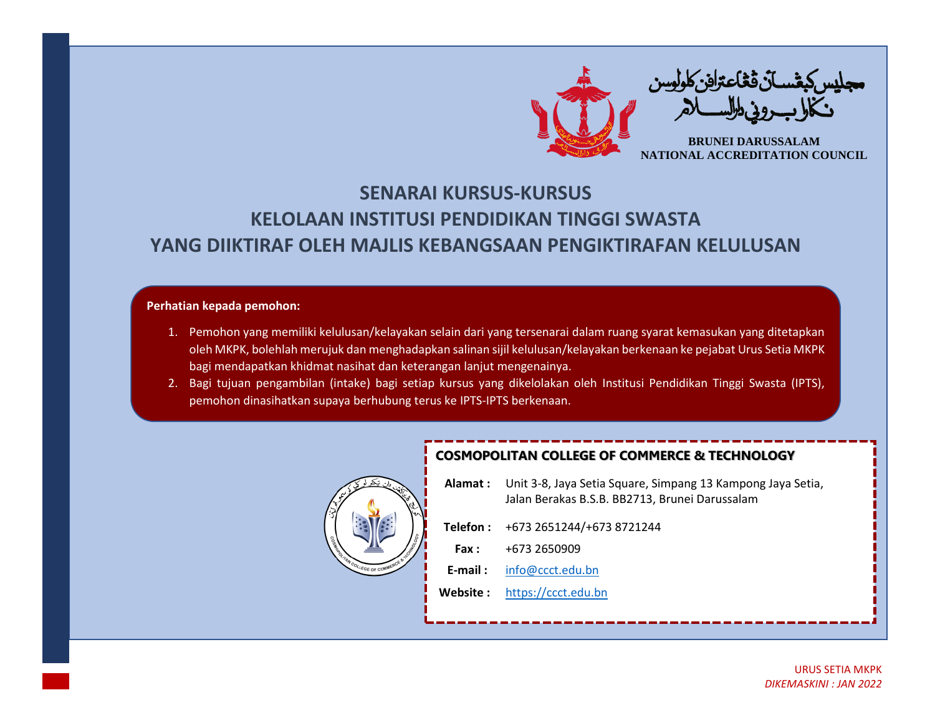

## **SENARAI KURSUS-KURSUS KELOLAAN INSTITUSI PENDIDIKAN TINGGI SWASTA YANG DIIKTIRAF OLEH MAJLIS KEBANGSAAN PENGIKTIRAFAN KELULUSAN**

## **Perhatian kepada pemohon:**

- 1. Pemohon yang memiliki kelulusan/kelayakan selain dari yang tersenarai dalam ruang syarat kemasukan yang ditetapkan oleh MKPK, bolehlah merujuk dan menghadapkan salinan sijil kelulusan/kelayakan berkenaan ke pejabat Urus Setia MKPK bagi mendapatkan khidmat nasihat dan keterangan lanjut mengenainya.
- 2. Bagi tujuan pengambilan (intake) bagi setiap kursus yang dikelolakan oleh Institusi Pendidikan Tinggi Swasta (IPTS), pemohon dinasihatkan supaya berhubung terus ke IPTS-IPTS berkenaan.



## **COSMOPOLITAN COLLEGE OF COMMERCE & TECHNOLOGY**

| <b>Alamat:</b> Unit 3-8, Jaya Setia Square, Simpang 13 Kampong Jaya Setia,<br>Jalan Berakas B.S.B. BB2713. Brunei Darussalam |
|------------------------------------------------------------------------------------------------------------------------------|
|                                                                                                                              |

| . ו טוסוס | 712 <i>וס כיוסד ו</i> <del>דו</del> בליט ביטד |
|-----------|-----------------------------------------------|
| Fax :     | +673 2650909                                  |

**E-mail :** [info@ccct.edu.bn](mailto:info@ccct.edu.bn)

**Website :** [https://ccct.edu.bn](https://ccct.edu.bn/)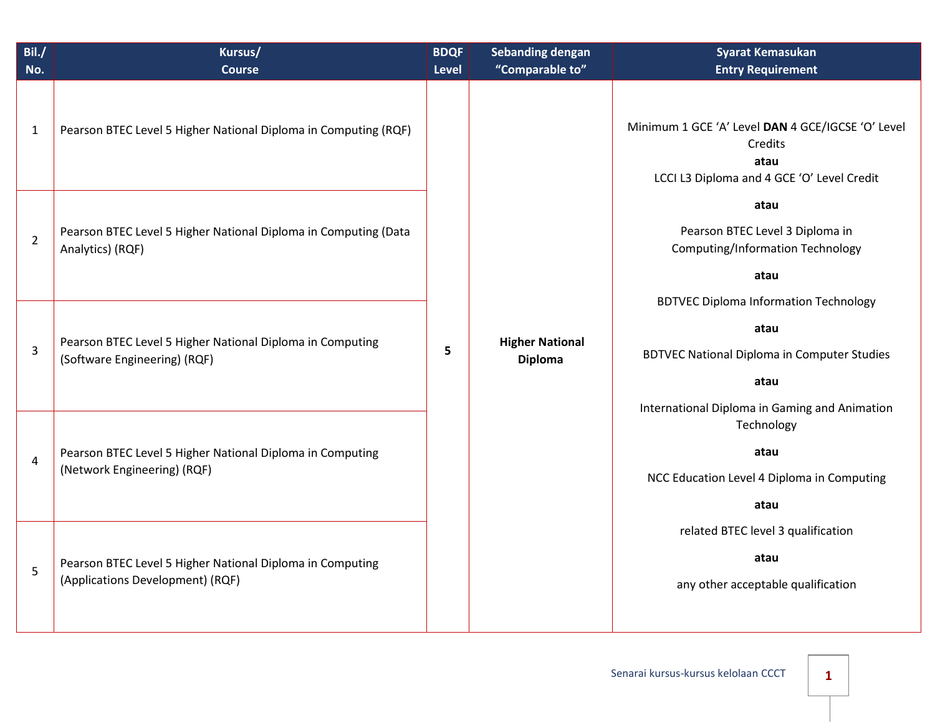| Bil./<br>No.   | Kursus/<br><b>Course</b>                                                                      | <b>BDQF</b><br><b>Level</b> | <b>Sebanding dengan</b><br>"Comparable to" | <b>Syarat Kemasukan</b><br><b>Entry Requirement</b>                                                                                                                                                              |                                                                          |
|----------------|-----------------------------------------------------------------------------------------------|-----------------------------|--------------------------------------------|------------------------------------------------------------------------------------------------------------------------------------------------------------------------------------------------------------------|--------------------------------------------------------------------------|
| $\mathbf{1}$   | Pearson BTEC Level 5 Higher National Diploma in Computing (RQF)                               | 5                           | <b>Higher National</b><br><b>Diploma</b>   | Minimum 1 GCE 'A' Level DAN 4 GCE/IGCSE 'O' Level<br>Credits<br>atau<br>LCCI L3 Diploma and 4 GCE 'O' Level Credit<br>atau<br>Pearson BTEC Level 3 Diploma in<br><b>Computing/Information Technology</b><br>atau |                                                                          |
| $\overline{2}$ | Pearson BTEC Level 5 Higher National Diploma in Computing (Data<br>Analytics) (RQF)           |                             |                                            |                                                                                                                                                                                                                  |                                                                          |
| 3              | Pearson BTEC Level 5 Higher National Diploma in Computing<br>(Software Engineering) (RQF)     |                             |                                            | <b>BDTVEC Diploma Information Technology</b><br>atau<br><b>BDTVEC National Diploma in Computer Studies</b><br>atau<br>International Diploma in Gaming and Animation                                              |                                                                          |
| $\overline{4}$ | Pearson BTEC Level 5 Higher National Diploma in Computing<br>(Network Engineering) (RQF)      |                             |                                            |                                                                                                                                                                                                                  | Technology<br>atau<br>NCC Education Level 4 Diploma in Computing<br>atau |
| 5              | Pearson BTEC Level 5 Higher National Diploma in Computing<br>(Applications Development) (RQF) |                             |                                            | related BTEC level 3 qualification<br>atau<br>any other acceptable qualification                                                                                                                                 |                                                                          |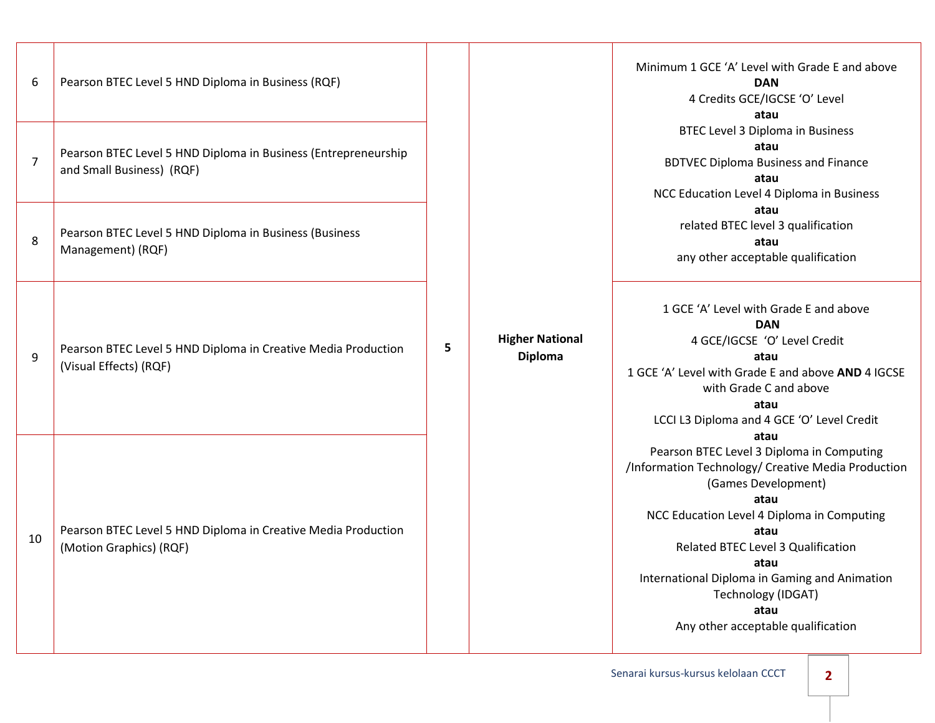| 6              | Pearson BTEC Level 5 HND Diploma in Business (RQF)                                          | 5 |  | Minimum 1 GCE 'A' Level with Grade E and above<br><b>DAN</b><br>4 Credits GCE/IGCSE 'O' Level<br>atau<br><b>BTEC Level 3 Diploma in Business</b><br>atau<br><b>BDTVEC Diploma Business and Finance</b><br>atau<br>NCC Education Level 4 Diploma in Business |                                                                                                                                                                                                                                    |                                                                                          |  |
|----------------|---------------------------------------------------------------------------------------------|---|--|-------------------------------------------------------------------------------------------------------------------------------------------------------------------------------------------------------------------------------------------------------------|------------------------------------------------------------------------------------------------------------------------------------------------------------------------------------------------------------------------------------|------------------------------------------------------------------------------------------|--|
| $\overline{7}$ | Pearson BTEC Level 5 HND Diploma in Business (Entrepreneurship<br>and Small Business) (RQF) |   |  |                                                                                                                                                                                                                                                             |                                                                                                                                                                                                                                    |                                                                                          |  |
| 8              | Pearson BTEC Level 5 HND Diploma in Business (Business<br>Management) (RQF)                 |   |  |                                                                                                                                                                                                                                                             |                                                                                                                                                                                                                                    | atau<br>related BTEC level 3 qualification<br>atau<br>any other acceptable qualification |  |
| 9              | Pearson BTEC Level 5 HND Diploma in Creative Media Production<br>(Visual Effects) (RQF)     |   |  | <b>Higher National</b><br><b>Diploma</b>                                                                                                                                                                                                                    | 1 GCE 'A' Level with Grade E and above<br><b>DAN</b><br>4 GCE/IGCSE 'O' Level Credit<br>atau<br>1 GCE 'A' Level with Grade E and above AND 4 IGCSE<br>with Grade C and above<br>atau<br>LCCI L3 Diploma and 4 GCE 'O' Level Credit |                                                                                          |  |
| 10             | Pearson BTEC Level 5 HND Diploma in Creative Media Production<br>(Motion Graphics) (RQF)    |   |  |                                                                                                                                                                                                                                                             |                                                                                                                                                                                                                                    |                                                                                          |  |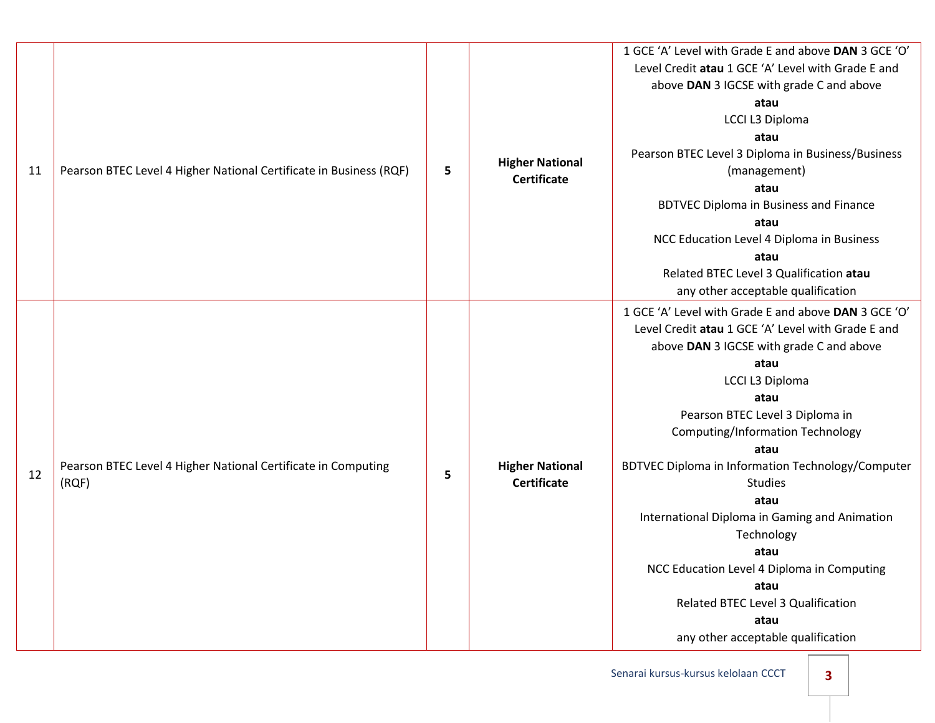|    |                                                                        |   |                                              | 1 GCE 'A' Level with Grade E and above DAN 3 GCE 'O' |
|----|------------------------------------------------------------------------|---|----------------------------------------------|------------------------------------------------------|
|    |                                                                        |   |                                              | Level Credit atau 1 GCE 'A' Level with Grade E and   |
|    |                                                                        |   |                                              | above DAN 3 IGCSE with grade C and above             |
|    |                                                                        |   |                                              | atau                                                 |
|    |                                                                        |   |                                              | LCCI L3 Diploma                                      |
|    |                                                                        |   |                                              | atau                                                 |
|    |                                                                        |   |                                              | Pearson BTEC Level 3 Diploma in Business/Business    |
| 11 | Pearson BTEC Level 4 Higher National Certificate in Business (RQF)     | 5 | <b>Higher National</b><br><b>Certificate</b> | (management)                                         |
|    |                                                                        |   |                                              | atau                                                 |
|    |                                                                        |   |                                              | <b>BDTVEC Diploma in Business and Finance</b>        |
|    |                                                                        |   |                                              | atau                                                 |
|    |                                                                        |   |                                              | NCC Education Level 4 Diploma in Business            |
|    |                                                                        |   |                                              | atau                                                 |
|    |                                                                        |   |                                              | Related BTEC Level 3 Qualification atau              |
|    |                                                                        |   |                                              | any other acceptable qualification                   |
|    |                                                                        | 5 |                                              | 1 GCE 'A' Level with Grade E and above DAN 3 GCE 'O' |
|    |                                                                        |   |                                              | Level Credit atau 1 GCE 'A' Level with Grade E and   |
|    |                                                                        |   | <b>Higher National</b><br><b>Certificate</b> | above DAN 3 IGCSE with grade C and above             |
|    |                                                                        |   |                                              | atau                                                 |
|    |                                                                        |   |                                              | LCCI L3 Diploma                                      |
|    |                                                                        |   |                                              | atau                                                 |
|    |                                                                        |   |                                              | Pearson BTEC Level 3 Diploma in                      |
|    | Pearson BTEC Level 4 Higher National Certificate in Computing<br>(RQF) |   |                                              | <b>Computing/Information Technology</b>              |
|    |                                                                        |   |                                              | atau                                                 |
| 12 |                                                                        |   |                                              | BDTVEC Diploma in Information Technology/Computer    |
|    |                                                                        |   |                                              | <b>Studies</b>                                       |
|    |                                                                        |   |                                              | atau                                                 |
|    |                                                                        |   |                                              | International Diploma in Gaming and Animation        |
|    |                                                                        |   |                                              | Technology                                           |
|    |                                                                        |   |                                              | atau                                                 |
|    |                                                                        |   |                                              | NCC Education Level 4 Diploma in Computing           |
|    |                                                                        |   |                                              | atau                                                 |
|    |                                                                        |   |                                              | Related BTEC Level 3 Qualification                   |
|    |                                                                        |   |                                              | atau                                                 |
|    |                                                                        |   |                                              | any other acceptable qualification                   |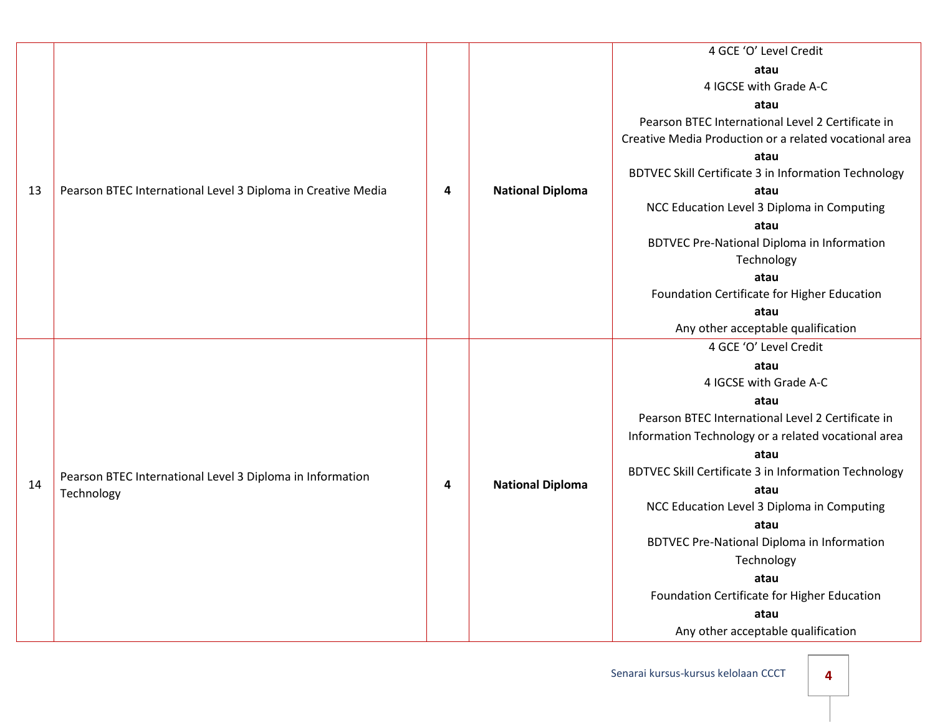|    |                                                              |   |                         | 4 GCE 'O' Level Credit                                 |
|----|--------------------------------------------------------------|---|-------------------------|--------------------------------------------------------|
|    |                                                              |   |                         | atau                                                   |
|    |                                                              |   |                         | 4 IGCSE with Grade A-C                                 |
|    |                                                              |   |                         | atau                                                   |
|    |                                                              |   |                         | Pearson BTEC International Level 2 Certificate in      |
|    |                                                              |   |                         | Creative Media Production or a related vocational area |
|    |                                                              |   |                         | atau                                                   |
|    |                                                              |   |                         | BDTVEC Skill Certificate 3 in Information Technology   |
| 13 | Pearson BTEC International Level 3 Diploma in Creative Media | 4 | <b>National Diploma</b> | atau                                                   |
|    |                                                              |   |                         | NCC Education Level 3 Diploma in Computing             |
|    |                                                              |   |                         | atau                                                   |
|    |                                                              |   |                         | <b>BDTVEC Pre-National Diploma in Information</b>      |
|    |                                                              |   |                         | Technology                                             |
|    |                                                              |   |                         | atau                                                   |
|    |                                                              |   |                         | Foundation Certificate for Higher Education            |
|    |                                                              |   |                         | atau                                                   |
|    |                                                              |   |                         | Any other acceptable qualification                     |
|    |                                                              |   |                         | 4 GCE 'O' Level Credit                                 |
|    |                                                              |   |                         | atau                                                   |
|    |                                                              |   |                         | 4 IGCSE with Grade A-C                                 |
|    |                                                              |   |                         | atau                                                   |
|    |                                                              |   |                         | Pearson BTEC International Level 2 Certificate in      |
|    |                                                              |   |                         | Information Technology or a related vocational area    |
|    | Pearson BTEC International Level 3 Diploma in Information    | 4 |                         | atau                                                   |
|    |                                                              |   |                         | BDTVEC Skill Certificate 3 in Information Technology   |
| 14 | Technology                                                   |   | <b>National Diploma</b> | atau                                                   |
|    |                                                              |   |                         | NCC Education Level 3 Diploma in Computing             |
|    |                                                              |   |                         | atau                                                   |
|    |                                                              |   |                         | <b>BDTVEC Pre-National Diploma in Information</b>      |
|    |                                                              |   |                         | Technology                                             |
|    |                                                              |   |                         | atau                                                   |
|    |                                                              |   |                         | Foundation Certificate for Higher Education            |
|    |                                                              |   |                         | atau                                                   |
|    |                                                              |   |                         | Any other acceptable qualification                     |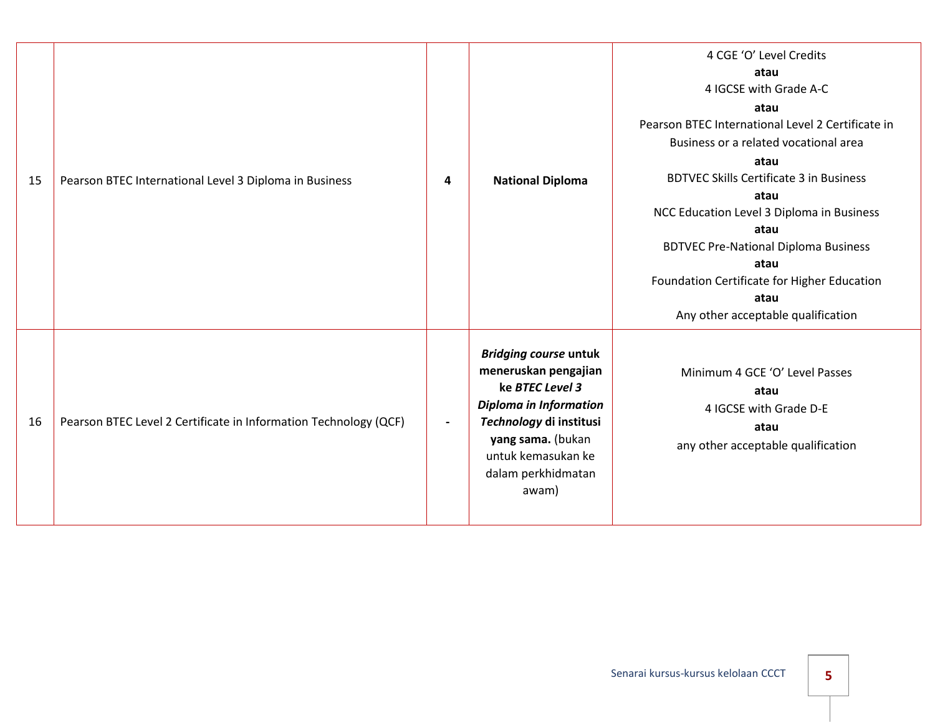| 15 | Pearson BTEC International Level 3 Diploma in Business           | 4                        | <b>National Diploma</b>                                                                                                                                                                                       | 4 CGE 'O' Level Credits<br>atau<br>4 IGCSE with Grade A-C<br>atau<br>Pearson BTEC International Level 2 Certificate in<br>Business or a related vocational area<br>atau<br><b>BDTVEC Skills Certificate 3 in Business</b><br>atau<br>NCC Education Level 3 Diploma in Business<br>atau<br><b>BDTVEC Pre-National Diploma Business</b><br>atau<br>Foundation Certificate for Higher Education<br>atau<br>Any other acceptable qualification |
|----|------------------------------------------------------------------|--------------------------|---------------------------------------------------------------------------------------------------------------------------------------------------------------------------------------------------------------|--------------------------------------------------------------------------------------------------------------------------------------------------------------------------------------------------------------------------------------------------------------------------------------------------------------------------------------------------------------------------------------------------------------------------------------------|
| 16 | Pearson BTEC Level 2 Certificate in Information Technology (QCF) | $\overline{\phantom{0}}$ | <b>Bridging course untuk</b><br>meneruskan pengajian<br>ke BTEC Level 3<br><b>Diploma in Information</b><br>Technology di institusi<br>yang sama. (bukan<br>untuk kemasukan ke<br>dalam perkhidmatan<br>awam) | Minimum 4 GCE 'O' Level Passes<br>atau<br>4 IGCSE with Grade D-E<br>atau<br>any other acceptable qualification                                                                                                                                                                                                                                                                                                                             |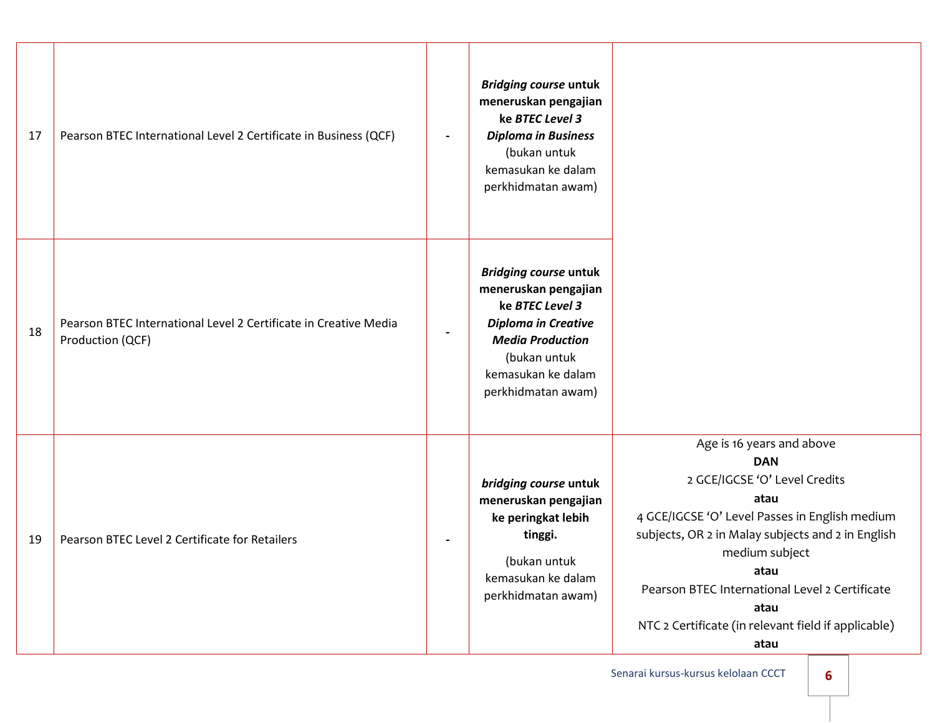| 17 | Pearson BTEC International Level 2 Certificate in Business (QCF)                     |                          | <b>Bridging course untuk</b><br>meneruskan pengajian<br>ke BTEC Level 3<br><b>Diploma in Business</b><br>(bukan untuk<br>kemasukan ke dalam<br>perkhidmatan awam)                            |                                                                                                                                                                                                                                                                                                                                            |
|----|--------------------------------------------------------------------------------------|--------------------------|----------------------------------------------------------------------------------------------------------------------------------------------------------------------------------------------|--------------------------------------------------------------------------------------------------------------------------------------------------------------------------------------------------------------------------------------------------------------------------------------------------------------------------------------------|
| 18 | Pearson BTEC International Level 2 Certificate in Creative Media<br>Production (QCF) | $\overline{\phantom{a}}$ | <b>Bridging course untuk</b><br>meneruskan pengajian<br>ke BTEC Level 3<br><b>Diploma in Creative</b><br><b>Media Production</b><br>(bukan untuk<br>kemasukan ke dalam<br>perkhidmatan awam) |                                                                                                                                                                                                                                                                                                                                            |
| 19 | Pearson BTEC Level 2 Certificate for Retailers                                       |                          | bridging course untuk<br>meneruskan pengajian<br>ke peringkat lebih<br>tinggi.<br>(bukan untuk<br>kemasukan ke dalam<br>perkhidmatan awam)                                                   | Age is 16 years and above<br><b>DAN</b><br>2 GCE/IGCSE 'O' Level Credits<br>atau<br>4 GCE/IGCSE 'O' Level Passes in English medium<br>subjects, OR 2 in Malay subjects and 2 in English<br>medium subject<br>atau<br>Pearson BTEC International Level 2 Certificate<br>atau<br>NTC 2 Certificate (in relevant field if applicable)<br>atau |